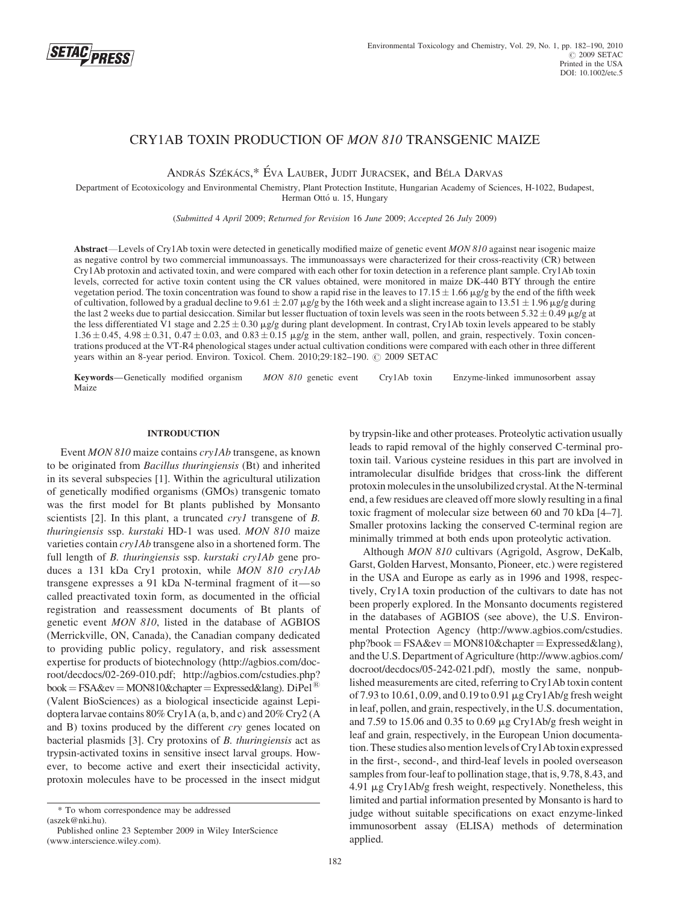

# CRY1AB TOXIN PRODUCTION OF MON 810 TRANSGENIC MAIZE

ANDRÁS SZÉKÁCS,\* ÉVA LAUBER, JUDIT JURACSEK, and BÉLA DARVAS

Department of Ecotoxicology and Environmental Chemistry, Plant Protection Institute, Hungarian Academy of Sciences, H-1022, Budapest, Herman Ottó u. 15, Hungary

(Submitted 4 April 2009; Returned for Revision 16 June 2009; Accepted 26 July 2009)

Abstract—Levels of Cry1Ab toxin were detected in genetically modified maize of genetic event MON 810 against near isogenic maize as negative control by two commercial immunoassays. The immunoassays were characterized for their cross-reactivity (CR) between Cry1Ab protoxin and activated toxin, and were compared with each other for toxin detection in a reference plant sample. Cry1Ab toxin levels, corrected for active toxin content using the CR values obtained, were monitored in maize DK-440 BTY through the entire vegetation period. The toxin concentration was found to show a rapid rise in the leaves to  $17.15 \pm 1.66$  mg/g by the end of the fifth week of cultivation, followed by a gradual decline to  $9.61 \pm 2.07$   $\mu$ g/g by the 16th week and a slight increase again to 13.51  $\pm$  1.96  $\mu$ g/g during the last 2 weeks due to partial desiccation. Similar but lesser fluctuation of toxin levels was seen in the roots between  $5.32 \pm 0.49$  µg/g at the less differentiated V1 stage and  $2.25 \pm 0.30$   $\mu$ g/g during plant development. In contrast, Cry1Ab toxin levels appeared to be stably  $1.36 \pm 0.45$ ,  $4.98 \pm 0.31$ ,  $0.\overline{47} \pm 0.03$ , and  $0.83 \pm 0.15$   $\mu$ g/g in the stem, anther wall, pollen, and grain, respectively. Toxin concentrations produced at the VT-R4 phenological stages under actual cultivation conditions were compared with each other in three different years within an 8-year period. Environ. Toxicol. Chem. 2010;29:182-190.  $\odot$  2009 SETAC

Keywords—Genetically modified organism MON 810 genetic event Cry1Ab toxin Enzyme-linked immunosorbent assay Maize

## INTRODUCTION

Event MON 810 maize contains cry1Ab transgene, as known to be originated from Bacillus thuringiensis (Bt) and inherited in its several subspecies [1]. Within the agricultural utilization of genetically modified organisms (GMOs) transgenic tomato was the first model for Bt plants published by Monsanto scientists [2]. In this plant, a truncated *cryl* transgene of B. thuringiensis ssp. kurstaki HD-1 was used. MON 810 maize varieties contain cry1Ab transgene also in a shortened form. The full length of B. thuringiensis ssp. kurstaki crylAb gene produces a 131 kDa Cry1 protoxin, while MON 810 cry1Ab transgene expresses a 91 kDa N-terminal fragment of it—so called preactivated toxin form, as documented in the official registration and reassessment documents of Bt plants of genetic event MON 810, listed in the database of AGBIOS (Merrickville, ON, Canada), the Canadian company dedicated to providing public policy, regulatory, and risk assessment expertise for products of biotechnology (http://agbios.com/docroot/decdocs/02-269-010.pdf; http://agbios.com/cstudies.php?  $book = FSA\&ev = MON810\&chapter = Expressed\&lang. Di Pel<sup>(8)</sup>$ (Valent BioSciences) as a biological insecticide against Lepidoptera larvae contains 80% Cry1A (a, b, and c) and 20% Cry2 (A and B) toxins produced by the different cry genes located on bacterial plasmids [3]. Cry protoxins of *B. thuringiensis* act as trypsin-activated toxins in sensitive insect larval groups. However, to become active and exert their insecticidal activity, protoxin molecules have to be processed in the insect midgut

by trypsin-like and other proteases. Proteolytic activation usually leads to rapid removal of the highly conserved C-terminal protoxin tail. Various cysteine residues in this part are involved in intramolecular disulfide bridges that cross-link the different protoxin molecules in the unsolubilized crystal. At the N-terminal end, a few residues are cleaved off more slowly resulting in a final toxic fragment of molecular size between 60 and 70 kDa [4–7]. Smaller protoxins lacking the conserved C-terminal region are minimally trimmed at both ends upon proteolytic activation.

Although MON 810 cultivars (Agrigold, Asgrow, DeKalb, Garst, Golden Harvest, Monsanto, Pioneer, etc.) were registered in the USA and Europe as early as in 1996 and 1998, respectively, Cry1A toxin production of the cultivars to date has not been properly explored. In the Monsanto documents registered in the databases of AGBIOS (see above), the U.S. Environmental Protection Agency (http://www.agbios.com/cstudies.  $php?book = FSA&ev = MON810&chapter = Expressed⟨),$ and the U.S. Department of Agriculture (http://www.agbios.com/ docroot/decdocs/05-242-021.pdf), mostly the same, nonpublished measurements are cited, referring to Cry1Ab toxin content of 7.93 to 10.61, 0.09, and 0.19 to 0.91 mg Cry1Ab/g fresh weight in leaf, pollen, and grain, respectively, in the U.S. documentation, and 7.59 to 15.06 and 0.35 to 0.69  $\mu$ g Cry1Ab/g fresh weight in leaf and grain, respectively, in the European Union documentation. These studies also mention levels of Cry1Ab toxin expressed in the first-, second-, and third-leaf levels in pooled overseason samples from four-leaf to pollination stage, that is, 9.78, 8.43, and 4.91 mg Cry1Ab/g fresh weight, respectively. Nonetheless, this limited and partial information presented by Monsanto is hard to judge without suitable specifications on exact enzyme-linked immunosorbent assay (ELISA) methods of determination applied.

<sup>\*</sup> To whom correspondence may be addressed (aszek@nki.hu).

Published online 23 September 2009 in Wiley InterScience (www.interscience.wiley.com).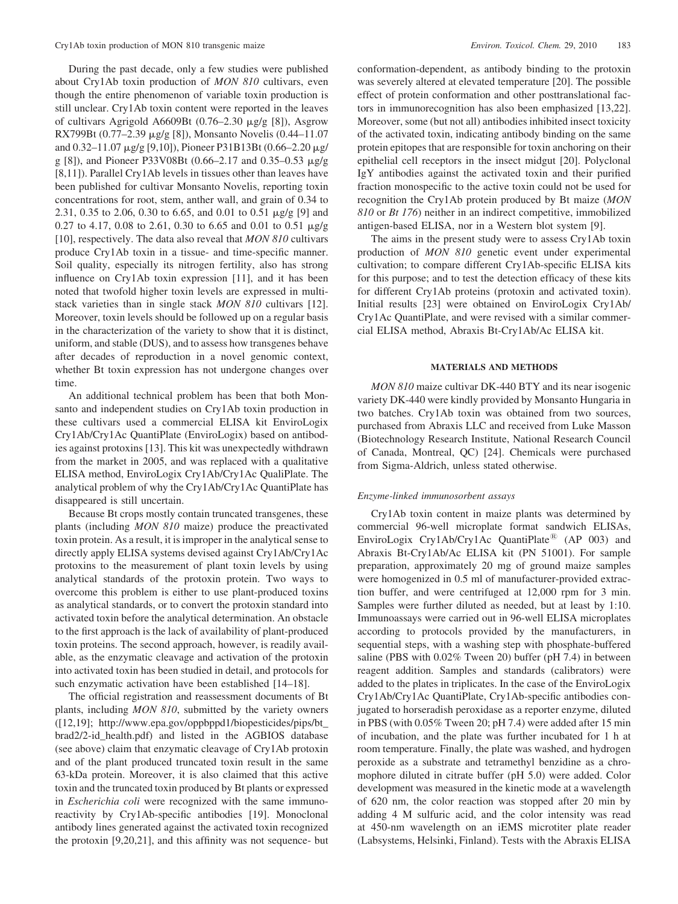During the past decade, only a few studies were published about Cry1Ab toxin production of MON 810 cultivars, even though the entire phenomenon of variable toxin production is still unclear. Cry1Ab toxin content were reported in the leaves of cultivars Agrigold A6609Bt (0.76–2.30 mg/g [8]), Asgrow RX799Bt (0.77–2.39 mg/g [8]), Monsanto Novelis (0.44–11.07 and  $0.32-11.07 \mu$ g/g [9,10]), Pioneer P31B13Bt (0.66-2.20  $\mu$ g/ g [8]), and Pioneer P33V08Bt (0.66–2.17 and 0.35–0.53 mg/g [8,11]). Parallel Cry1Ab levels in tissues other than leaves have been published for cultivar Monsanto Novelis, reporting toxin concentrations for root, stem, anther wall, and grain of 0.34 to 2.31, 0.35 to 2.06, 0.30 to 6.65, and 0.01 to 0.51 mg/g [9] and 0.27 to 4.17, 0.08 to 2.61, 0.30 to 6.65 and 0.01 to 0.51  $\mu$ g/g [10], respectively. The data also reveal that MON 810 cultivars produce Cry1Ab toxin in a tissue- and time-specific manner. Soil quality, especially its nitrogen fertility, also has strong influence on Cry1Ab toxin expression [11], and it has been noted that twofold higher toxin levels are expressed in multistack varieties than in single stack *MON 810* cultivars [12]. Moreover, toxin levels should be followed up on a regular basis in the characterization of the variety to show that it is distinct, uniform, and stable (DUS), and to assess how transgenes behave after decades of reproduction in a novel genomic context, whether Bt toxin expression has not undergone changes over time.

An additional technical problem has been that both Monsanto and independent studies on Cry1Ab toxin production in these cultivars used a commercial ELISA kit EnviroLogix Cry1Ab/Cry1Ac QuantiPlate (EnviroLogix) based on antibodies against protoxins [13]. This kit was unexpectedly withdrawn from the market in 2005, and was replaced with a qualitative ELISA method, EnviroLogix Cry1Ab/Cry1Ac QualiPlate. The analytical problem of why the Cry1Ab/Cry1Ac QuantiPlate has disappeared is still uncertain.

Because Bt crops mostly contain truncated transgenes, these plants (including MON 810 maize) produce the preactivated toxin protein. As a result, it is improper in the analytical sense to directly apply ELISA systems devised against Cry1Ab/Cry1Ac protoxins to the measurement of plant toxin levels by using analytical standards of the protoxin protein. Two ways to overcome this problem is either to use plant-produced toxins as analytical standards, or to convert the protoxin standard into activated toxin before the analytical determination. An obstacle to the first approach is the lack of availability of plant-produced toxin proteins. The second approach, however, is readily available, as the enzymatic cleavage and activation of the protoxin into activated toxin has been studied in detail, and protocols for such enzymatic activation have been established [14–18].

The official registration and reassessment documents of Bt plants, including MON 810, submitted by the variety owners ([12,19]; http://www.epa.gov/oppbppd1/biopesticides/pips/bt\_ brad2/2-id\_health.pdf) and listed in the AGBIOS database (see above) claim that enzymatic cleavage of Cry1Ab protoxin and of the plant produced truncated toxin result in the same 63-kDa protein. Moreover, it is also claimed that this active toxin and the truncated toxin produced by Bt plants or expressed in Escherichia coli were recognized with the same immunoreactivity by Cry1Ab-specific antibodies [19]. Monoclonal antibody lines generated against the activated toxin recognized the protoxin [9,20,21], and this affinity was not sequence- but

conformation-dependent, as antibody binding to the protoxin was severely altered at elevated temperature [20]. The possible effect of protein conformation and other posttranslational factors in immunorecognition has also been emphasized [13,22]. Moreover, some (but not all) antibodies inhibited insect toxicity of the activated toxin, indicating antibody binding on the same protein epitopes that are responsible for toxin anchoring on their epithelial cell receptors in the insect midgut [20]. Polyclonal IgY antibodies against the activated toxin and their purified fraction monospecific to the active toxin could not be used for recognition the Cry1Ab protein produced by Bt maize (MON 810 or Bt 176) neither in an indirect competitive, immobilized antigen-based ELISA, nor in a Western blot system [9].

The aims in the present study were to assess Cry1Ab toxin production of MON 810 genetic event under experimental cultivation; to compare different Cry1Ab-specific ELISA kits for this purpose; and to test the detection efficacy of these kits for different Cry1Ab proteins (protoxin and activated toxin). Initial results [23] were obtained on EnviroLogix Cry1Ab/ Cry1Ac QuantiPlate, and were revised with a similar commercial ELISA method, Abraxis Bt-Cry1Ab/Ac ELISA kit.

## MATERIALS AND METHODS

MON 810 maize cultivar DK-440 BTY and its near isogenic variety DK-440 were kindly provided by Monsanto Hungaria in two batches. Cry1Ab toxin was obtained from two sources, purchased from Abraxis LLC and received from Luke Masson (Biotechnology Research Institute, National Research Council of Canada, Montreal, QC) [24]. Chemicals were purchased from Sigma-Aldrich, unless stated otherwise.

## Enzyme-linked immunosorbent assays

Cry1Ab toxin content in maize plants was determined by commercial 96-well microplate format sandwich ELISAs, EnviroLogix Cry1Ab/Cry1Ac QuantiPlate<sup>®</sup> (AP 003) and Abraxis Bt-Cry1Ab/Ac ELISA kit (PN 51001). For sample preparation, approximately 20 mg of ground maize samples were homogenized in 0.5 ml of manufacturer-provided extraction buffer, and were centrifuged at 12,000 rpm for 3 min. Samples were further diluted as needed, but at least by 1:10. Immunoassays were carried out in 96-well ELISA microplates according to protocols provided by the manufacturers, in sequential steps, with a washing step with phosphate-buffered saline (PBS with 0.02% Tween 20) buffer (pH 7.4) in between reagent addition. Samples and standards (calibrators) were added to the plates in triplicates. In the case of the EnviroLogix Cry1Ab/Cry1Ac QuantiPlate, Cry1Ab-specific antibodies conjugated to horseradish peroxidase as a reporter enzyme, diluted in PBS (with 0.05% Tween 20; pH 7.4) were added after 15 min of incubation, and the plate was further incubated for 1 h at room temperature. Finally, the plate was washed, and hydrogen peroxide as a substrate and tetramethyl benzidine as a chromophore diluted in citrate buffer (pH 5.0) were added. Color development was measured in the kinetic mode at a wavelength of 620 nm, the color reaction was stopped after 20 min by adding 4 M sulfuric acid, and the color intensity was read at 450-nm wavelength on an iEMS microtiter plate reader (Labsystems, Helsinki, Finland). Tests with the Abraxis ELISA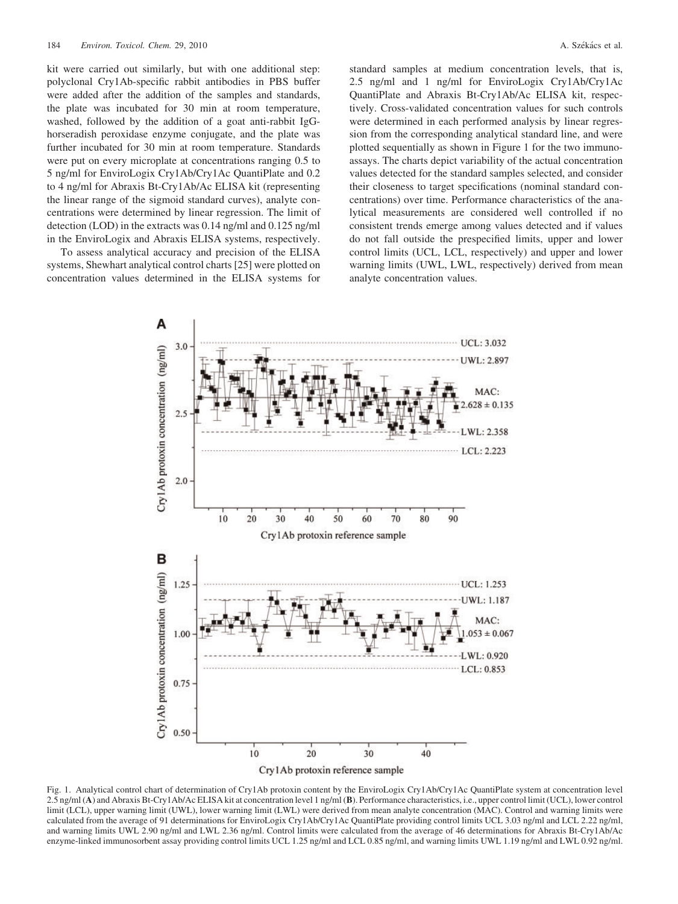kit were carried out similarly, but with one additional step: polyclonal Cry1Ab-specific rabbit antibodies in PBS buffer were added after the addition of the samples and standards, the plate was incubated for 30 min at room temperature, washed, followed by the addition of a goat anti-rabbit IgGhorseradish peroxidase enzyme conjugate, and the plate was further incubated for 30 min at room temperature. Standards were put on every microplate at concentrations ranging 0.5 to 5 ng/ml for EnviroLogix Cry1Ab/Cry1Ac QuantiPlate and 0.2 to 4 ng/ml for Abraxis Bt-Cry1Ab/Ac ELISA kit (representing the linear range of the sigmoid standard curves), analyte concentrations were determined by linear regression. The limit of detection (LOD) in the extracts was 0.14 ng/ml and 0.125 ng/ml in the EnviroLogix and Abraxis ELISA systems, respectively.

To assess analytical accuracy and precision of the ELISA systems, Shewhart analytical control charts [25] were plotted on concentration values determined in the ELISA systems for standard samples at medium concentration levels, that is, 2.5 ng/ml and 1 ng/ml for EnviroLogix Cry1Ab/Cry1Ac QuantiPlate and Abraxis Bt-Cry1Ab/Ac ELISA kit, respectively. Cross-validated concentration values for such controls were determined in each performed analysis by linear regression from the corresponding analytical standard line, and were plotted sequentially as shown in Figure 1 for the two immunoassays. The charts depict variability of the actual concentration values detected for the standard samples selected, and consider their closeness to target specifications (nominal standard concentrations) over time. Performance characteristics of the analytical measurements are considered well controlled if no consistent trends emerge among values detected and if values do not fall outside the prespecified limits, upper and lower control limits (UCL, LCL, respectively) and upper and lower warning limits (UWL, LWL, respectively) derived from mean analyte concentration values.



Fig. 1. Analytical control chart of determination of Cry1Ab protoxin content by the EnviroLogix Cry1Ab/Cry1Ac QuantiPlate system at concentration level 2.5 ng/ml (A) and Abraxis Bt-Cry1Ab/Ac ELISA kit at concentration level 1 ng/ml (B). Performance characteristics, i.e., upper control limit (UCL), lower control limit (LCL), upper warning limit (UWL), lower warning limit (LWL) were derived from mean analyte concentration (MAC). Control and warning limits were calculated from the average of 91 determinations for EnviroLogix Cry1Ab/Cry1Ac QuantiPlate providing control limits UCL 3.03 ng/ml and LCL 2.22 ng/ml, and warning limits UWL 2.90 ng/ml and LWL 2.36 ng/ml. Control limits were calculated from the average of 46 determinations for Abraxis Bt-Cry1Ab/Ac enzyme-linked immunosorbent assay providing control limits UCL 1.25 ng/ml and LCL 0.85 ng/ml, and warning limits UWL 1.19 ng/ml and LWL 0.92 ng/ml.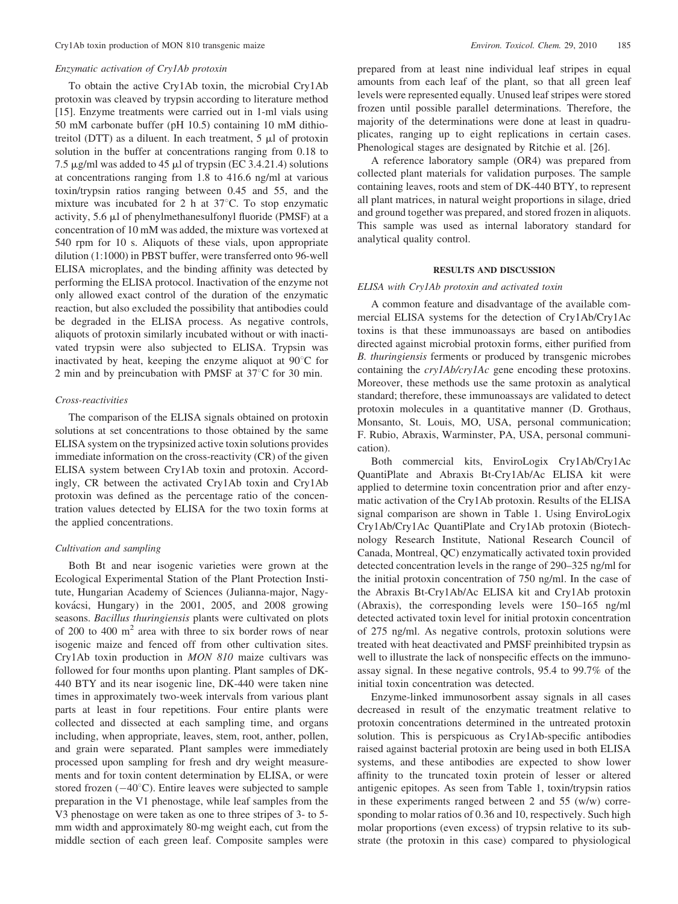#### Enzymatic activation of Cry1Ab protoxin

To obtain the active Cry1Ab toxin, the microbial Cry1Ab protoxin was cleaved by trypsin according to literature method [15]. Enzyme treatments were carried out in 1-ml vials using 50 mM carbonate buffer (pH 10.5) containing 10 mM dithiotreitol (DTT) as a diluent. In each treatment,  $5 \mu l$  of protoxin solution in the buffer at concentrations ranging from 0.18 to 7.5  $\mu$ g/ml was added to 45  $\mu$ l of trypsin (EC 3.4.21.4) solutions at concentrations ranging from 1.8 to 416.6 ng/ml at various toxin/trypsin ratios ranging between 0.45 and 55, and the mixture was incubated for 2 h at  $37^{\circ}$ C. To stop enzymatic activity, 5.6 ml of phenylmethanesulfonyl fluoride (PMSF) at a concentration of 10 mM was added, the mixture was vortexed at 540 rpm for 10 s. Aliquots of these vials, upon appropriate dilution (1:1000) in PBST buffer, were transferred onto 96-well ELISA microplates, and the binding affinity was detected by performing the ELISA protocol. Inactivation of the enzyme not only allowed exact control of the duration of the enzymatic reaction, but also excluded the possibility that antibodies could be degraded in the ELISA process. As negative controls, aliquots of protoxin similarly incubated without or with inactivated trypsin were also subjected to ELISA. Trypsin was inactivated by heat, keeping the enzyme aliquot at  $90^{\circ}$ C for 2 min and by preincubation with PMSF at  $37^{\circ}$ C for 30 min.

## Cross-reactivities

The comparison of the ELISA signals obtained on protoxin solutions at set concentrations to those obtained by the same ELISA system on the trypsinized active toxin solutions provides immediate information on the cross-reactivity (CR) of the given ELISA system between Cry1Ab toxin and protoxin. Accordingly, CR between the activated Cry1Ab toxin and Cry1Ab protoxin was defined as the percentage ratio of the concentration values detected by ELISA for the two toxin forms at the applied concentrations.

## Cultivation and sampling

Both Bt and near isogenic varieties were grown at the Ecological Experimental Station of the Plant Protection Institute, Hungarian Academy of Sciences (Julianna-major, Nagykovácsi, Hungary) in the  $2001$ ,  $2005$ , and  $2008$  growing seasons. Bacillus thuringiensis plants were cultivated on plots of 200 to 400  $m<sup>2</sup>$  area with three to six border rows of near isogenic maize and fenced off from other cultivation sites. Cry1Ab toxin production in MON 810 maize cultivars was followed for four months upon planting. Plant samples of DK-440 BTY and its near isogenic line, DK-440 were taken nine times in approximately two-week intervals from various plant parts at least in four repetitions. Four entire plants were collected and dissected at each sampling time, and organs including, when appropriate, leaves, stem, root, anther, pollen, and grain were separated. Plant samples were immediately processed upon sampling for fresh and dry weight measurements and for toxin content determination by ELISA, or were stored frozen  $(-40^{\circ}C)$ . Entire leaves were subjected to sample preparation in the V1 phenostage, while leaf samples from the V3 phenostage on were taken as one to three stripes of 3- to 5 mm width and approximately 80-mg weight each, cut from the middle section of each green leaf. Composite samples were

prepared from at least nine individual leaf stripes in equal amounts from each leaf of the plant, so that all green leaf levels were represented equally. Unused leaf stripes were stored frozen until possible parallel determinations. Therefore, the majority of the determinations were done at least in quadruplicates, ranging up to eight replications in certain cases. Phenological stages are designated by Ritchie et al. [26].

A reference laboratory sample (OR4) was prepared from collected plant materials for validation purposes. The sample containing leaves, roots and stem of DK-440 BTY, to represent all plant matrices, in natural weight proportions in silage, dried and ground together was prepared, and stored frozen in aliquots. This sample was used as internal laboratory standard for analytical quality control.

## RESULTS AND DISCUSSION

## ELISA with Cry1Ab protoxin and activated toxin

A common feature and disadvantage of the available commercial ELISA systems for the detection of Cry1Ab/Cry1Ac toxins is that these immunoassays are based on antibodies directed against microbial protoxin forms, either purified from B. thuringiensis ferments or produced by transgenic microbes containing the cry1Ab/cry1Ac gene encoding these protoxins. Moreover, these methods use the same protoxin as analytical standard; therefore, these immunoassays are validated to detect protoxin molecules in a quantitative manner (D. Grothaus, Monsanto, St. Louis, MO, USA, personal communication; F. Rubio, Abraxis, Warminster, PA, USA, personal communication).

Both commercial kits, EnviroLogix Cry1Ab/Cry1Ac QuantiPlate and Abraxis Bt-Cry1Ab/Ac ELISA kit were applied to determine toxin concentration prior and after enzymatic activation of the Cry1Ab protoxin. Results of the ELISA signal comparison are shown in Table 1. Using EnviroLogix Cry1Ab/Cry1Ac QuantiPlate and Cry1Ab protoxin (Biotechnology Research Institute, National Research Council of Canada, Montreal, QC) enzymatically activated toxin provided detected concentration levels in the range of 290–325 ng/ml for the initial protoxin concentration of 750 ng/ml. In the case of the Abraxis Bt-Cry1Ab/Ac ELISA kit and Cry1Ab protoxin (Abraxis), the corresponding levels were 150–165 ng/ml detected activated toxin level for initial protoxin concentration of 275 ng/ml. As negative controls, protoxin solutions were treated with heat deactivated and PMSF preinhibited trypsin as well to illustrate the lack of nonspecific effects on the immunoassay signal. In these negative controls, 95.4 to 99.7% of the initial toxin concentration was detected.

Enzyme-linked immunosorbent assay signals in all cases decreased in result of the enzymatic treatment relative to protoxin concentrations determined in the untreated protoxin solution. This is perspicuous as Cry1Ab-specific antibodies raised against bacterial protoxin are being used in both ELISA systems, and these antibodies are expected to show lower affinity to the truncated toxin protein of lesser or altered antigenic epitopes. As seen from Table 1, toxin/trypsin ratios in these experiments ranged between 2 and 55 (w/w) corresponding to molar ratios of 0.36 and 10, respectively. Such high molar proportions (even excess) of trypsin relative to its substrate (the protoxin in this case) compared to physiological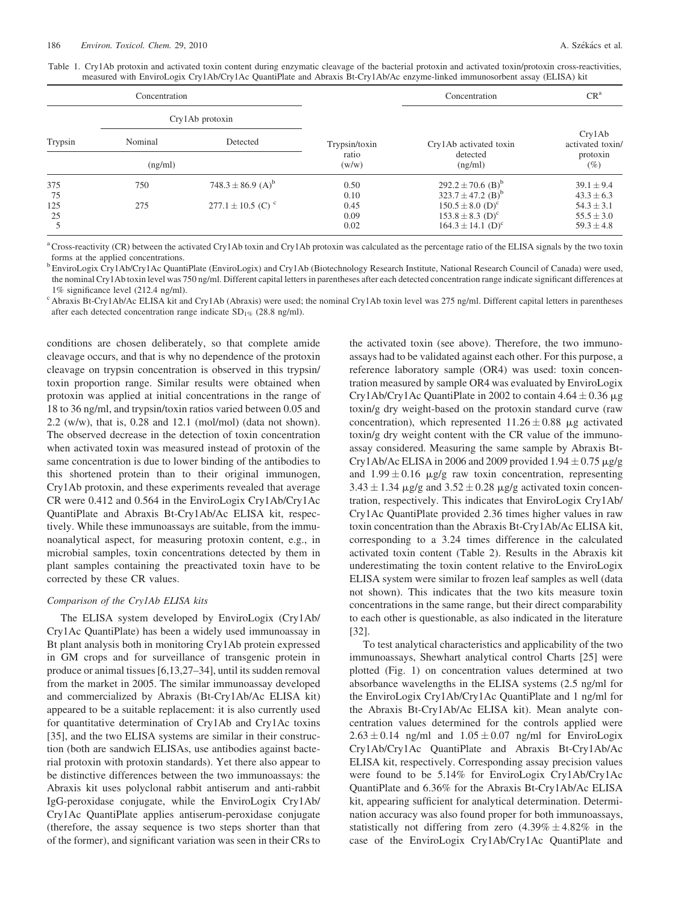Table 1. Cry1Ab protoxin and activated toxin content during enzymatic cleavage of the bacterial protoxin and activated toxin/protoxin cross-reactivities, measured with EnviroLogix Cry1Ab/Cry1Ac QuantiPlate and Abraxis Bt-Cry1Ab/Ac enzyme-linked immunosorbent assay (ELISA) kit

| Concentration |                 |                                   |                | Concentration                     | CR <sup>a</sup>            |
|---------------|-----------------|-----------------------------------|----------------|-----------------------------------|----------------------------|
|               | Cry1Ab protoxin |                                   |                |                                   |                            |
| Trypsin       | Nominal         | Detected                          | Trypsin/toxin  | Cry1Ab activated toxin            | Cry1Ab<br>activated toxin/ |
| (ng/ml)       |                 |                                   | ratio<br>(w/w) | detected<br>(ng/ml)               | protoxin<br>(%)            |
| 375           | 750             | $748.3 \pm 86.9$ (A) <sup>b</sup> | 0.50           | $292.2 \pm 70.6$ (B) <sup>b</sup> | $39.1 \pm 9.4$             |
| 75            |                 |                                   | 0.10           | $323.7 \pm 47.2$ (B) <sup>b</sup> | $43.3 \pm 6.3$             |
| 125           | 275             | $277.1 \pm 10.5$ (C) <sup>c</sup> | 0.45           | $150.5 \pm 8.0$ (D) <sup>c</sup>  | $54.3 \pm 3.1$             |
| 25            |                 |                                   | 0.09           | $153.8 \pm 8.3$ (D) <sup>c</sup>  | $55.5 \pm 3.0$             |
|               |                 |                                   | 0.02           | $164.3 \pm 14.1$ (D) <sup>c</sup> | $59.3 \pm 4.8$             |

<sup>a</sup> Cross-reactivity (CR) between the activated Cry1Ab toxin and Cry1Ab protoxin was calculated as the percentage ratio of the ELISA signals by the two toxin forms at the applied concentrations.

<sup>b</sup> EnviroLogix Cry1Ab/Cry1Ac QuantiPlate (EnviroLogix) and Cry1Ab (Biotechnology Research Institute, National Research Council of Canada) were used, the nominal Cry1Ab toxin level was 750 ng/ml. Different capital letters in parentheses after each detected concentration range indicate significant differences at

1% significance level (212.4 ng/ml).<br><sup>c</sup> Abraxis Bt-Cry1Ab/Ac ELISA kit and Cry1Ab (Abraxis) were used; the nominal Cry1Ab toxin level was 275 ng/ml. Different capital letters in parentheses after each detected concentration range indicate  $SD_{1\%}$  (28.8 ng/ml).

conditions are chosen deliberately, so that complete amide cleavage occurs, and that is why no dependence of the protoxin cleavage on trypsin concentration is observed in this trypsin/ toxin proportion range. Similar results were obtained when protoxin was applied at initial concentrations in the range of 18 to 36 ng/ml, and trypsin/toxin ratios varied between 0.05 and 2.2 (w/w), that is, 0.28 and 12.1 (mol/mol) (data not shown). The observed decrease in the detection of toxin concentration when activated toxin was measured instead of protoxin of the same concentration is due to lower binding of the antibodies to this shortened protein than to their original immunogen, Cry1Ab protoxin, and these experiments revealed that average CR were 0.412 and 0.564 in the EnviroLogix Cry1Ab/Cry1Ac QuantiPlate and Abraxis Bt-Cry1Ab/Ac ELISA kit, respectively. While these immunoassays are suitable, from the immunoanalytical aspect, for measuring protoxin content, e.g., in microbial samples, toxin concentrations detected by them in plant samples containing the preactivated toxin have to be corrected by these CR values.

# Comparison of the Cry1Ab ELISA kits

The ELISA system developed by EnviroLogix (Cry1Ab/ Cry1Ac QuantiPlate) has been a widely used immunoassay in Bt plant analysis both in monitoring Cry1Ab protein expressed in GM crops and for surveillance of transgenic protein in produce or animal tissues [6,13,27–34], until its sudden removal from the market in 2005. The similar immunoassay developed and commercialized by Abraxis (Bt-Cry1Ab/Ac ELISA kit) appeared to be a suitable replacement: it is also currently used for quantitative determination of Cry1Ab and Cry1Ac toxins [35], and the two ELISA systems are similar in their construction (both are sandwich ELISAs, use antibodies against bacterial protoxin with protoxin standards). Yet there also appear to be distinctive differences between the two immunoassays: the Abraxis kit uses polyclonal rabbit antiserum and anti-rabbit IgG-peroxidase conjugate, while the EnviroLogix Cry1Ab/ Cry1Ac QuantiPlate applies antiserum-peroxidase conjugate (therefore, the assay sequence is two steps shorter than that of the former), and significant variation was seen in their CRs to

the activated toxin (see above). Therefore, the two immunoassays had to be validated against each other. For this purpose, a reference laboratory sample (OR4) was used: toxin concentration measured by sample OR4 was evaluated by EnviroLogix Cry1Ab/Cry1Ac QuantiPlate in 2002 to contain  $4.64 \pm 0.36 \mu$ g toxin/g dry weight-based on the protoxin standard curve (raw concentration), which represented  $11.26 \pm 0.88$  µg activated toxin/g dry weight content with the CR value of the immunoassay considered. Measuring the same sample by Abraxis Bt-Cry1Ab/Ac ELISA in 2006 and 2009 provided  $1.94 \pm 0.75$   $\mu$ g/g and  $1.99 \pm 0.16$  µg/g raw toxin concentration, representing  $3.43 \pm 1.34$  µg/g and  $3.52 \pm 0.28$  µg/g activated toxin concentration, respectively. This indicates that EnviroLogix Cry1Ab/ Cry1Ac QuantiPlate provided 2.36 times higher values in raw toxin concentration than the Abraxis Bt-Cry1Ab/Ac ELISA kit, corresponding to a 3.24 times difference in the calculated activated toxin content (Table 2). Results in the Abraxis kit underestimating the toxin content relative to the EnviroLogix ELISA system were similar to frozen leaf samples as well (data not shown). This indicates that the two kits measure toxin concentrations in the same range, but their direct comparability to each other is questionable, as also indicated in the literature [32].

To test analytical characteristics and applicability of the two immunoassays, Shewhart analytical control Charts [25] were plotted (Fig. 1) on concentration values determined at two absorbance wavelengths in the ELISA systems (2.5 ng/ml for the EnviroLogix Cry1Ab/Cry1Ac QuantiPlate and 1 ng/ml for the Abraxis Bt-Cry1Ab/Ac ELISA kit). Mean analyte concentration values determined for the controls applied were  $2.63 \pm 0.14$  ng/ml and  $1.05 \pm 0.07$  ng/ml for EnviroLogix Cry1Ab/Cry1Ac QuantiPlate and Abraxis Bt-Cry1Ab/Ac ELISA kit, respectively. Corresponding assay precision values were found to be 5.14% for EnviroLogix Cry1Ab/Cry1Ac QuantiPlate and 6.36% for the Abraxis Bt-Cry1Ab/Ac ELISA kit, appearing sufficient for analytical determination. Determination accuracy was also found proper for both immunoassays, statistically not differing from zero  $(4.39\% \pm 4.82\%)$  in the case of the EnviroLogix Cry1Ab/Cry1Ac QuantiPlate and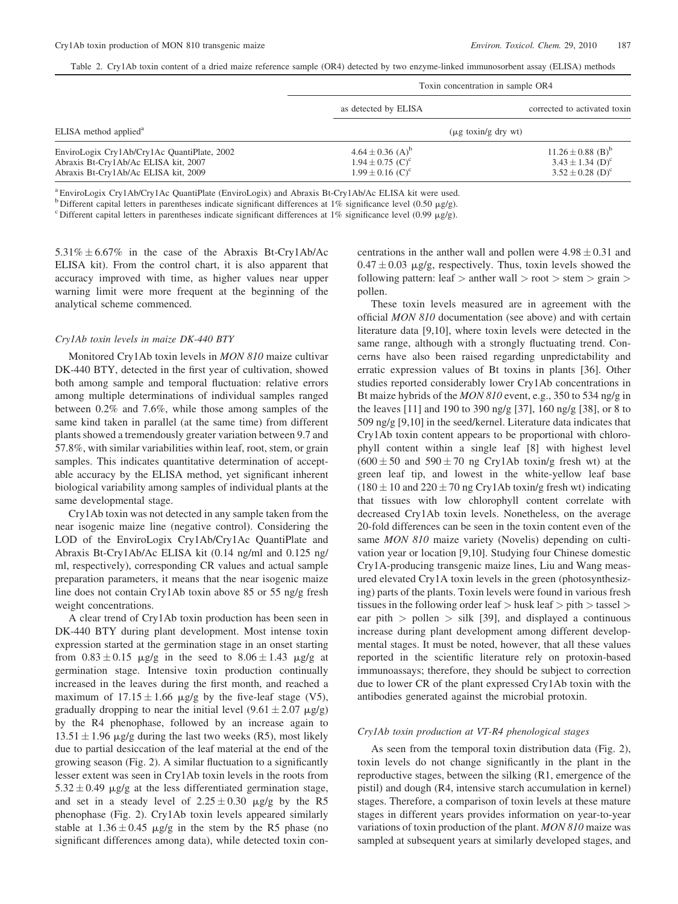Table 2. Cry1Ab toxin content of a dried maize reference sample (OR4) detected by two enzyme-linked immunosorbent assay (ELISA) methods

|                                                                                                                             | Toxin concentration in sample OR4                                                                        |                                                                                                           |  |
|-----------------------------------------------------------------------------------------------------------------------------|----------------------------------------------------------------------------------------------------------|-----------------------------------------------------------------------------------------------------------|--|
|                                                                                                                             | as detected by ELISA                                                                                     | corrected to activated toxin                                                                              |  |
| ELISA method applied <sup>a</sup>                                                                                           | $(\mu g \to x \to h/g \to g \to v \to h)$                                                                |                                                                                                           |  |
| EnviroLogix Cry1Ab/Cry1Ac QuantiPlate, 2002<br>Abraxis Bt-Cry1Ab/Ac ELISA kit, 2007<br>Abraxis Bt-Cry1Ab/Ac ELISA kit, 2009 | $4.64 \pm 0.36$ (A) <sup>b</sup><br>$1.94 \pm 0.75$ (C) <sup>c</sup><br>$1.99 \pm 0.16$ (C) <sup>c</sup> | $11.26 \pm 0.88$ (B) <sup>b</sup><br>$3.43 \pm 1.34$ (D) <sup>c</sup><br>$3.52 \pm 0.28$ (D) <sup>c</sup> |  |

<sup>a</sup> EnviroLogix Cry1Ab/Cry1Ac QuantiPlate (EnviroLogix) and Abraxis Bt-Cry1Ab/Ac ELISA kit were used.

<sup>b</sup> Different capital letters in parentheses indicate significant differences at 1% significance level (0.50  $\mu$ g/g).<br><sup>c</sup> Different capital letters in parentheses indicate significant differences at 1% significance level

 $5.31\% \pm 6.67\%$  in the case of the Abraxis Bt-Cry1Ab/Ac ELISA kit). From the control chart, it is also apparent that accuracy improved with time, as higher values near upper warning limit were more frequent at the beginning of the analytical scheme commenced.

## Cry1Ab toxin levels in maize DK-440 BTY

Monitored Cry1Ab toxin levels in MON 810 maize cultivar DK-440 BTY, detected in the first year of cultivation, showed both among sample and temporal fluctuation: relative errors among multiple determinations of individual samples ranged between 0.2% and 7.6%, while those among samples of the same kind taken in parallel (at the same time) from different plants showed a tremendously greater variation between 9.7 and 57.8%, with similar variabilities within leaf, root, stem, or grain samples. This indicates quantitative determination of acceptable accuracy by the ELISA method, yet significant inherent biological variability among samples of individual plants at the same developmental stage.

Cry1Ab toxin was not detected in any sample taken from the near isogenic maize line (negative control). Considering the LOD of the EnviroLogix Cry1Ab/Cry1Ac QuantiPlate and Abraxis Bt-Cry1Ab/Ac ELISA kit (0.14 ng/ml and 0.125 ng/ ml, respectively), corresponding CR values and actual sample preparation parameters, it means that the near isogenic maize line does not contain Cry1Ab toxin above 85 or 55 ng/g fresh weight concentrations.

A clear trend of Cry1Ab toxin production has been seen in DK-440 BTY during plant development. Most intense toxin expression started at the germination stage in an onset starting from  $0.83 \pm 0.15$   $\mu$ g/g in the seed to  $8.06 \pm 1.43$   $\mu$ g/g at germination stage. Intensive toxin production continually increased in the leaves during the first month, and reached a maximum of  $17.15 \pm 1.66$  µg/g by the five-leaf stage (V5), gradually dropping to near the initial level  $(9.61 \pm 2.07 \text{ }\mu\text{g/g})$ by the R4 phenophase, followed by an increase again to  $13.51 \pm 1.96$  µg/g during the last two weeks (R5), most likely due to partial desiccation of the leaf material at the end of the growing season (Fig. 2). A similar fluctuation to a significantly lesser extent was seen in Cry1Ab toxin levels in the roots from  $5.32 \pm 0.49$  µg/g at the less differentiated germination stage, and set in a steady level of  $2.25 \pm 0.30$  µg/g by the R5 phenophase (Fig. 2). Cry1Ab toxin levels appeared similarly stable at  $1.36 \pm 0.45$  µg/g in the stem by the R5 phase (no significant differences among data), while detected toxin concentrations in the anther wall and pollen were  $4.98 \pm 0.31$  and  $0.47 \pm 0.03$  µg/g, respectively. Thus, toxin levels showed the following pattern: leaf  $>$  anther wall  $>$  root  $>$  stem  $>$  grain  $>$ pollen.

These toxin levels measured are in agreement with the official MON 810 documentation (see above) and with certain literature data [9,10], where toxin levels were detected in the same range, although with a strongly fluctuating trend. Concerns have also been raised regarding unpredictability and erratic expression values of Bt toxins in plants [36]. Other studies reported considerably lower Cry1Ab concentrations in Bt maize hybrids of the MON 810 event, e.g., 350 to 534 ng/g in the leaves [11] and 190 to 390 ng/g [37], 160 ng/g [38], or 8 to 509 ng/g [9,10] in the seed/kernel. Literature data indicates that Cry1Ab toxin content appears to be proportional with chlorophyll content within a single leaf [8] with highest level  $(600 \pm 50$  and  $590 \pm 70$  ng Cry1Ab toxin/g fresh wt) at the green leaf tip, and lowest in the white-yellow leaf base  $(180 \pm 10$  and  $220 \pm 70$  ng Cry1Ab toxin/g fresh wt) indicating that tissues with low chlorophyll content correlate with decreased Cry1Ab toxin levels. Nonetheless, on the average 20-fold differences can be seen in the toxin content even of the same MON 810 maize variety (Novelis) depending on cultivation year or location [9,10]. Studying four Chinese domestic Cry1A-producing transgenic maize lines, Liu and Wang measured elevated Cry1A toxin levels in the green (photosynthesizing) parts of the plants. Toxin levels were found in various fresh tissues in the following order leaf  $>$  husk leaf  $>$  pith  $>$  tassel  $>$ ear pith  $>$  pollen  $>$  silk [39], and displayed a continuous increase during plant development among different developmental stages. It must be noted, however, that all these values reported in the scientific literature rely on protoxin-based immunoassays; therefore, they should be subject to correction due to lower CR of the plant expressed Cry1Ab toxin with the antibodies generated against the microbial protoxin.

#### Cry1Ab toxin production at VT-R4 phenological stages

As seen from the temporal toxin distribution data (Fig. 2), toxin levels do not change significantly in the plant in the reproductive stages, between the silking (R1, emergence of the pistil) and dough (R4, intensive starch accumulation in kernel) stages. Therefore, a comparison of toxin levels at these mature stages in different years provides information on year-to-year variations of toxin production of the plant. MON 810 maize was sampled at subsequent years at similarly developed stages, and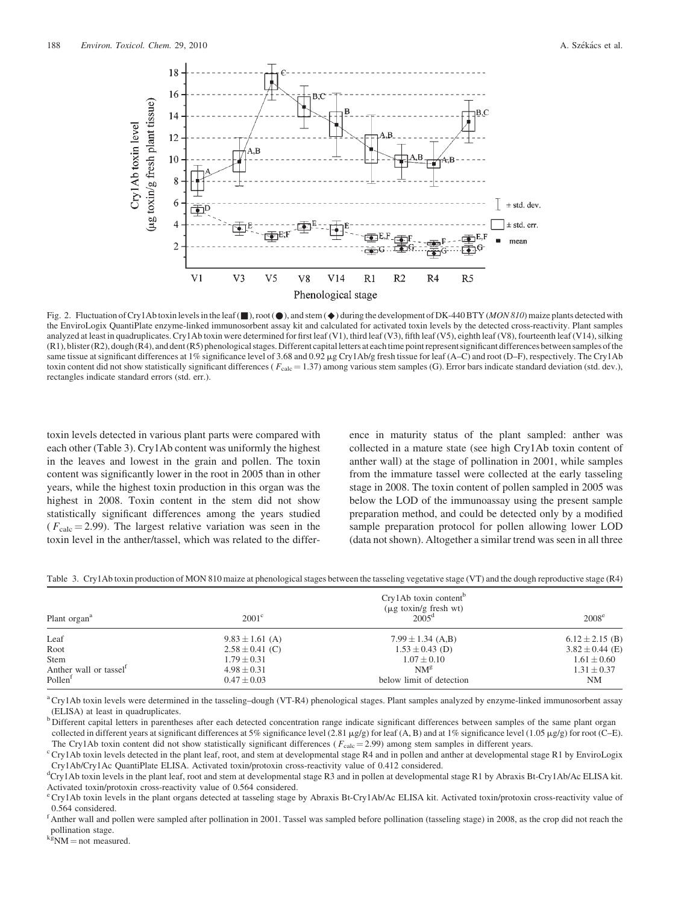

Fig. 2. Fluctuation of Cry1Ab toxin levels in the leaf  $(\blacksquare)$ , root  $(\lozenge)$ , and stem  $(\lozenge)$  during the development of DK-440 BTY (*MON 810*) maize plants detected with the EnviroLogix QuantiPlate enzyme-linked immunosorbent assay kit and calculated for activated toxin levels by the detected cross-reactivity. Plant samples analyzed at least in quadruplicates. Cry1Ab toxin were determined for first leaf (V1), third leaf (V3), fifth leaf (V5), eighth leaf (V8), fourteenth leaf (V14), silking (R1), blister (R2), dough (R4), and dent (R5) phenologicalstages. Different capital letters at each time point represent significant differences between samples of the same tissue at significant differences at 1% significance level of 3.68 and 0.92 µg Cry1Ab/g fresh tissue for leaf (A–C) and root (D–F), respectively. The Cry1Ab toxin content did not show statistically significant differences ( $F_{\text{calc}} = 1.37$ ) among various stem samples (G). Error bars indicate standard deviation (std. dev.), rectangles indicate standard errors (std. err.).

toxin levels detected in various plant parts were compared with each other (Table 3). Cry1Ab content was uniformly the highest in the leaves and lowest in the grain and pollen. The toxin content was significantly lower in the root in 2005 than in other years, while the highest toxin production in this organ was the highest in 2008. Toxin content in the stem did not show statistically significant differences among the years studied  $(F_{\text{calc}} = 2.99)$ . The largest relative variation was seen in the toxin level in the anther/tassel, which was related to the difference in maturity status of the plant sampled: anther was collected in a mature state (see high Cry1Ab toxin content of anther wall) at the stage of pollination in 2001, while samples from the immature tassel were collected at the early tasseling stage in 2008. The toxin content of pollen sampled in 2005 was below the LOD of the immunoassay using the present sample preparation method, and could be detected only by a modified sample preparation protocol for pollen allowing lower LOD (data not shown). Altogether a similar trend was seen in all three

Table 3. Cry1Ab toxin production of MON 810 maize at phenological stages between the tasseling vegetative stage (VT) and the dough reproductive stage (R4)

| Plant organ <sup>a</sup>           | $2001^{\circ}$      | $Cry1Ab$ toxin content <sup>b</sup><br>$(\mu g \to x \to h)$ fresh wt<br>$2005^{\rm d}$ | $2008^{\circ}$      |
|------------------------------------|---------------------|-----------------------------------------------------------------------------------------|---------------------|
| Leaf                               | $9.83 \pm 1.61$ (A) | $7.99 \pm 1.34$ (A,B)                                                                   | $6.12 \pm 2.15$ (B) |
| Root                               | $2.58 \pm 0.41$ (C) | $1.53 \pm 0.43$ (D)                                                                     | $3.82 \pm 0.44$ (E) |
| Stem                               | $1.79 \pm 0.31$     | $1.07 \pm 0.10$                                                                         | $1.61 \pm 0.60$     |
| Anther wall or tassel <sup>1</sup> | $4.98 \pm 0.31$     | $NM^g$                                                                                  | $1.31 \pm 0.37$     |
| Pollen <sup>1</sup>                | $0.47 \pm 0.03$     | below limit of detection                                                                | NΜ                  |

<sup>a</sup> Cry1Ab toxin levels were determined in the tasseling–dough (VT-R4) phenological stages. Plant samples analyzed by enzyme-linked immunosorbent assay (ELISA) at least in quadruplicates.

b Different capital letters in parentheses after each detected concentration range indicate significant differences between samples of the same plant organ collected in different years at significant differences at 5% significance level (2.81  $\mu$ g/g) for leaf (A, B) and at 1% significance level (1.05  $\mu$ g/g) for root (C–E).

The Cry1Ab toxin content did not show statistically significant differences ( $F_{\text{calc}}$  = 2.99) among stem samples in different years.<br><sup>c</sup> Cry1Ab toxin levels detected in the plant leaf, root, and stem at developmental sta Cry1Ab/Cry1Ac QuantiPlate ELISA. Activated toxin/protoxin cross-reactivity value of 0.412 considered.

d Cry1Ab toxin levels in the plant leaf, root and stem at developmental stage R3 and in pollen at developmental stage R1 by Abraxis Bt-Cry1Ab/Ac ELISA kit. Activated toxin/protoxin cross-reactivity value of 0.564 considered.

<sup>e</sup> Cry1Ab toxin levels in the plant organs detected at tasseling stage by Abraxis Bt-Cry1Ab/Ac ELISA kit. Activated toxin/protoxin cross-reactivity value of 0.564 considered.

f Anther wall and pollen were sampled after pollination in 2001. Tassel was sampled before pollination (tasseling stage) in 2008, as the crop did not reach the pollination stage.

 $k_{\text{g}}^{\text{R}}$ NM = not measured.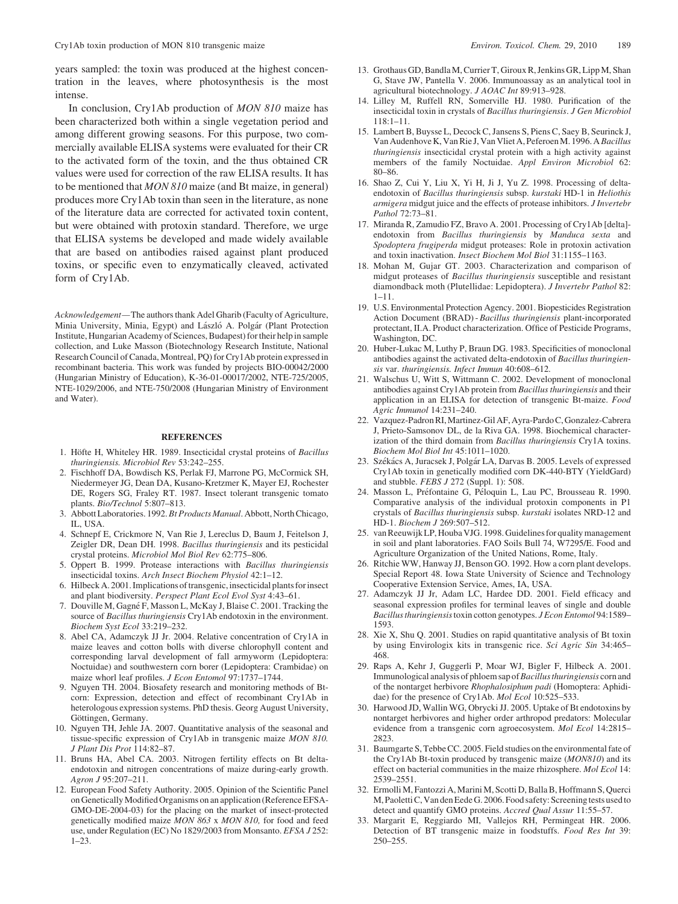years sampled: the toxin was produced at the highest concentration in the leaves, where photosynthesis is the most intense.

In conclusion, Cry1Ab production of MON 810 maize has been characterized both within a single vegetation period and among different growing seasons. For this purpose, two commercially available ELISA systems were evaluated for their CR to the activated form of the toxin, and the thus obtained CR values were used for correction of the raw ELISA results. It has to be mentioned that MON 810 maize (and Bt maize, in general) produces more Cry1Ab toxin than seen in the literature, as none of the literature data are corrected for activated toxin content, but were obtained with protoxin standard. Therefore, we urge that ELISA systems be developed and made widely available that are based on antibodies raised against plant produced toxins, or specific even to enzymatically cleaved, activated form of Cry1Ab.

Acknowledgement—The authors thank Adel Gharib (Faculty of Agriculture, Minia University, Minia, Egypt) and László A. Polgár (Plant Protection Institute, Hungarian Academy of Sciences, Budapest) for their help in sample collection, and Luke Masson (Biotechnology Research Institute, National Research Council of Canada, Montreal, PQ) for Cry1Ab protein expressed in recombinant bacteria. This work was funded by projects BIO-00042/2000 (Hungarian Ministry of Education), K-36-01-00017/2002, NTE-725/2005, NTE-1029/2006, and NTE-750/2008 (Hungarian Ministry of Environment and Water).

#### **REFERENCES**

- 1. Höfte H, Whiteley HR. 1989. Insecticidal crystal proteins of Bacillus thuringiensis. Microbiol Rev 53:242–255.
- 2. Fischhoff DA, Bowdisch KS, Perlak FJ, Marrone PG, McCormick SH, Niedermeyer JG, Dean DA, Kusano-Kretzmer K, Mayer EJ, Rochester DE, Rogers SG, Fraley RT. 1987. Insect tolerant transgenic tomato plants. Bio/Technol 5:807–813.
- 3. Abbott Laboratories. 1992.Bt Products Manual. Abbott, North Chicago, IL, USA.
- 4. Schnepf E, Crickmore N, Van Rie J, Lereclus D, Baum J, Feitelson J, Zeigler DR, Dean DH. 1998. Bacillus thuringiensis and its pesticidal crystal proteins. Microbiol Mol Biol Rev 62:775–806.
- 5. Oppert B. 1999. Protease interactions with Bacillus thuringiensis insecticidal toxins. Arch Insect Biochem Physiol 42:1–12.
- 6. Hilbeck A. 2001. Implications of transgenic, insecticidal plants for insect and plant biodiversity. Perspect Plant Ecol Evol Syst 4:43–61.
- 7. Douville M, Gagné F, Masson L, McKay J, Blaise C. 2001. Tracking the source of Bacillus thuringiensis Cry1Ab endotoxin in the environment. Biochem Syst Ecol 33:219–232.
- 8. Abel CA, Adamczyk JJ Jr. 2004. Relative concentration of Cry1A in maize leaves and cotton bolls with diverse chlorophyll content and corresponding larval development of fall armyworm (Lepidoptera: Noctuidae) and southwestern corn borer (Lepidoptera: Crambidae) on maize whorl leaf profiles. J Econ Entomol 97:1737-1744.
- 9. Nguyen TH. 2004. Biosafety research and monitoring methods of Btcorn: Expression, detection and effect of recombinant Cry1Ab in heterologous expression systems. PhD thesis. Georg August University, Göttingen, Germany.
- 10. Nguyen TH, Jehle JA. 2007. Quantitative analysis of the seasonal and tissue-specific expression of Cry1Ab in transgenic maize MON 810. J Plant Dis Prot 114:82–87.
- 11. Bruns HA, Abel CA. 2003. Nitrogen fertility effects on Bt deltaendotoxin and nitrogen concentrations of maize during-early growth. Agron J 95:207–211.
- 12. European Food Safety Authority. 2005. Opinion of the Scientific Panel on Genetically Modified Organisms on an application (Reference EFSA-GMO-DE-2004-03) for the placing on the market of insect-protected genetically modified maize MON 863 x MON 810, for food and feed use, under Regulation (EC) No 1829/2003 from Monsanto. EFSA J 252: 1–23.
- 13. Grothaus GD, Bandla M, Currier T, Giroux R, Jenkins GR, Lipp M, Shan G, Stave JW, Pantella V. 2006. Immunoassay as an analytical tool in agricultural biotechnology. J AOAC Int 89:913–928.
- 14. Lilley M, Ruffell RN, Somerville HJ. 1980. Purification of the insecticidal toxin in crystals of Bacillus thuringiensis. J Gen Microbiol 118:1–11.
- 15. Lambert B, Buysse L, Decock C, Jansens S, Piens C, Saey B, Seurinck J, Van Audenhove K, Van Rie J, Van Vliet A, Peferoen M. 1996. ABacillus thuringiensis insecticidal crystal protein with a high activity against members of the family Noctuidae. Appl Environ Microbiol 62: 80–86.
- 16. Shao Z, Cui Y, Liu X, Yi H, Ji J, Yu Z. 1998. Processing of deltaendotoxin of Bacillus thuringiensis subsp. kurstaki HD-1 in Heliothis armigera midgut juice and the effects of protease inhibitors. J Invertebr Pathol 72:73–81.
- 17. Miranda R, Zamudio FZ, Bravo A. 2001. Processing of Cry1Ab [delta] endotoxin from Bacillus thuringiensis by Manduca sexta and Spodoptera frugiperda midgut proteases: Role in protoxin activation and toxin inactivation. Insect Biochem Mol Biol 31:1155–1163.
- 18. Mohan M, Gujar GT. 2003. Characterization and comparison of midgut proteases of Bacillus thuringiensis susceptible and resistant diamondback moth (Plutellidae: Lepidoptera). J Invertebr Pathol 82: 1–11.
- 19. U.S. Environmental Protection Agency. 2001. Biopesticides Registration Action Document (BRAD) - Bacillus thuringiensis plant-incorporated protectant, II.A. Product characterization. Office of Pesticide Programs, Washington, DC.
- 20. Huber-Lukac M, Luthy P, Braun DG. 1983. Specificities of monoclonal antibodies against the activated delta-endotoxin of Bacillus thuringiensis var. thuringiensis. Infect Immun 40:608–612.
- 21. Walschus U, Witt S, Wittmann C. 2002. Development of monoclonal antibodies against Cry1Ab protein from Bacillus thuringiensis and their application in an ELISA for detection of transgenic Bt-maize. Food Agric Immunol 14:231–240.
- 22. Vazquez-Padron RI, Martinez-Gil AF, Ayra-PardoC, Gonzalez-Cabrera J, Prieto-Samsonov DL, de la Riva GA. 1998. Biochemical characterization of the third domain from Bacillus thuringiensis Cry1A toxins. Biochem Mol Biol Int 45:1011–1020.
- 23. Székács A, Juracsek J, Polgár LA, Darvas B. 2005. Levels of expressed Cry1Ab toxin in genetically modified corn DK-440-BTY (YieldGard) and stubble. FEBS J 272 (Suppl. 1): 508.
- 24. Masson L, Préfontaine G, Péloquin L, Lau PC, Brousseau R. 1990. Comparative analysis of the individual protoxin components in P1 crystals of Bacillus thuringiensis subsp. kurstaki isolates NRD-12 and HD-1. Biochem J 269:507–512.
- 25. van Reeuwijk LP, Houba VJG. 1998. Guidelines for quality management in soil and plant laboratories. FAO Soils Bull 74, W7295/E. Food and Agriculture Organization of the United Nations, Rome, Italy.
- 26. Ritchie WW, Hanway JJ, Benson GO. 1992. How a corn plant develops. Special Report 48. Iowa State University of Science and Technology Cooperative Extension Service, Ames, IA, USA.
- 27. Adamczyk JJ Jr, Adam LC, Hardee DD. 2001. Field efficacy and seasonal expression profiles for terminal leaves of single and double Bacillus thuringiensistoxin cotton genotypes. J Econ Entomol 94:1589– 1593.
- 28. Xie X, Shu Q. 2001. Studies on rapid quantitative analysis of Bt toxin by using Envirologix kits in transgenic rice. Sci Agric Sin 34:465– 468.
- 29. Raps A, Kehr J, Guggerli P, Moar WJ, Bigler F, Hilbeck A. 2001. Immunological analysis of phloem sap of Bacillus thuringiensis corn and of the nontarget herbivore Rhophalosiphum padi (Homoptera: Aphididae) for the presence of Cry1Ab. Mol Ecol 10:525–533.
- 30. Harwood JD, Wallin WG, Obrycki JJ. 2005. Uptake of Bt endotoxins by nontarget herbivores and higher order arthropod predators: Molecular evidence from a transgenic corn agroecosystem. Mol Ecol 14:2815– 2823.
- 31. Baumgarte S, Tebbe CC. 2005. Field studies on the environmental fate of the Cry1Ab Bt-toxin produced by transgenic maize (MON810) and its effect on bacterial communities in the maize rhizosphere. Mol Ecol 14: 2539–2551.
- 32. Ermolli M, Fantozzi A, Marini M, Scotti D, Balla B, Hoffmann S, Querci M, Paoletti C, Van den Eede G. 2006. Food safety: Screening tests used to detect and quantify GMO proteins. Accred Qual Assur 11:55–57.
- 33. Margarit E, Reggiardo MI, Vallejos RH, Permingeat HR. 2006. Detection of BT transgenic maize in foodstuffs. Food Res Int 39: 250–255.